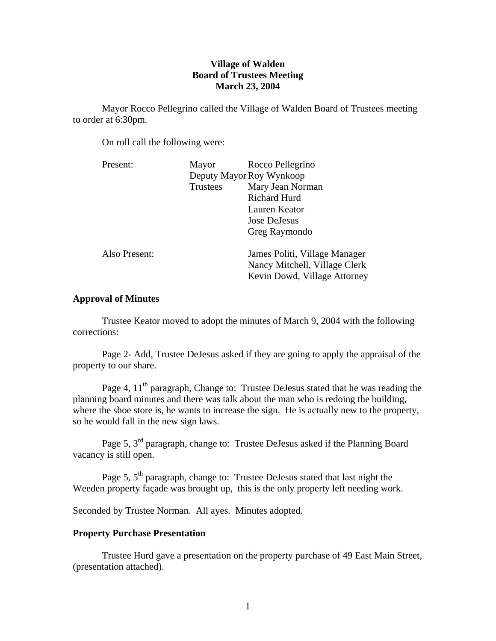# **Village of Walden Board of Trustees Meeting March 23, 2004**

Mayor Rocco Pellegrino called the Village of Walden Board of Trustees meeting to order at 6:30pm.

On roll call the following were:

| Present:      | Mayor                    | Rocco Pellegrino                                                                               |
|---------------|--------------------------|------------------------------------------------------------------------------------------------|
|               | Deputy Mayor Roy Wynkoop |                                                                                                |
|               | <b>Trustees</b>          | Mary Jean Norman                                                                               |
|               |                          | <b>Richard Hurd</b>                                                                            |
|               |                          | Lauren Keator                                                                                  |
|               |                          | Jose DeJesus                                                                                   |
|               |                          | Greg Raymondo                                                                                  |
| Also Present: |                          | James Politi, Village Manager<br>Nancy Mitchell, Village Clerk<br>Kevin Dowd, Village Attorney |

# **Approval of Minutes**

Trustee Keator moved to adopt the minutes of March 9, 2004 with the following corrections:

Page 2- Add, Trustee DeJesus asked if they are going to apply the appraisal of the property to our share.

Page 4, 11<sup>th</sup> paragraph, Change to: Trustee DeJesus stated that he was reading the planning board minutes and there was talk about the man who is redoing the building, where the shoe store is, he wants to increase the sign. He is actually new to the property, so he would fall in the new sign laws.

Page 5, 3<sup>rd</sup> paragraph, change to: Trustee DeJesus asked if the Planning Board vacancy is still open.

Page 5,  $5<sup>th</sup>$  paragraph, change to: Trustee DeJesus stated that last night the Weeden property façade was brought up, this is the only property left needing work.

Seconded by Trustee Norman. All ayes. Minutes adopted.

### **Property Purchase Presentation**

 Trustee Hurd gave a presentation on the property purchase of 49 East Main Street, (presentation attached).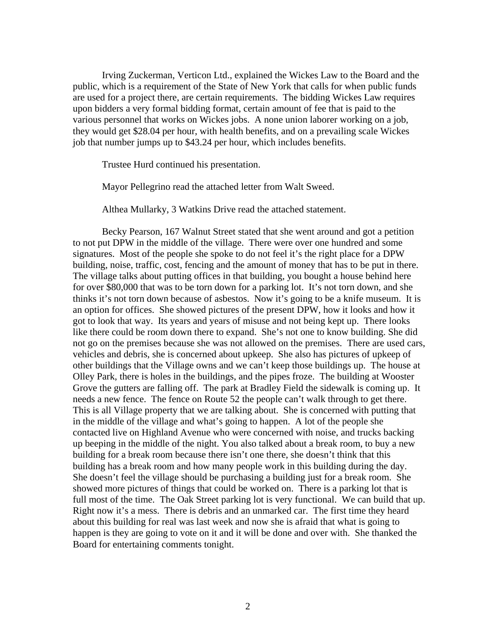Irving Zuckerman, Verticon Ltd., explained the Wickes Law to the Board and the public, which is a requirement of the State of New York that calls for when public funds are used for a project there, are certain requirements. The bidding Wickes Law requires upon bidders a very formal bidding format, certain amount of fee that is paid to the various personnel that works on Wickes jobs. A none union laborer working on a job, they would get \$28.04 per hour, with health benefits, and on a prevailing scale Wickes job that number jumps up to \$43.24 per hour, which includes benefits.

Trustee Hurd continued his presentation.

Mayor Pellegrino read the attached letter from Walt Sweed.

Althea Mullarky, 3 Watkins Drive read the attached statement.

 Becky Pearson, 167 Walnut Street stated that she went around and got a petition to not put DPW in the middle of the village. There were over one hundred and some signatures. Most of the people she spoke to do not feel it's the right place for a DPW building, noise, traffic, cost, fencing and the amount of money that has to be put in there. The village talks about putting offices in that building, you bought a house behind here for over \$80,000 that was to be torn down for a parking lot. It's not torn down, and she thinks it's not torn down because of asbestos. Now it's going to be a knife museum. It is an option for offices. She showed pictures of the present DPW, how it looks and how it got to look that way. Its years and years of misuse and not being kept up. There looks like there could be room down there to expand. She's not one to know building. She did not go on the premises because she was not allowed on the premises. There are used cars, vehicles and debris, she is concerned about upkeep. She also has pictures of upkeep of other buildings that the Village owns and we can't keep those buildings up. The house at Olley Park, there is holes in the buildings, and the pipes froze. The building at Wooster Grove the gutters are falling off. The park at Bradley Field the sidewalk is coming up. It needs a new fence. The fence on Route 52 the people can't walk through to get there. This is all Village property that we are talking about. She is concerned with putting that in the middle of the village and what's going to happen. A lot of the people she contacted live on Highland Avenue who were concerned with noise, and trucks backing up beeping in the middle of the night. You also talked about a break room, to buy a new building for a break room because there isn't one there, she doesn't think that this building has a break room and how many people work in this building during the day. She doesn't feel the village should be purchasing a building just for a break room. She showed more pictures of things that could be worked on. There is a parking lot that is full most of the time. The Oak Street parking lot is very functional. We can build that up. Right now it's a mess. There is debris and an unmarked car. The first time they heard about this building for real was last week and now she is afraid that what is going to happen is they are going to vote on it and it will be done and over with. She thanked the Board for entertaining comments tonight.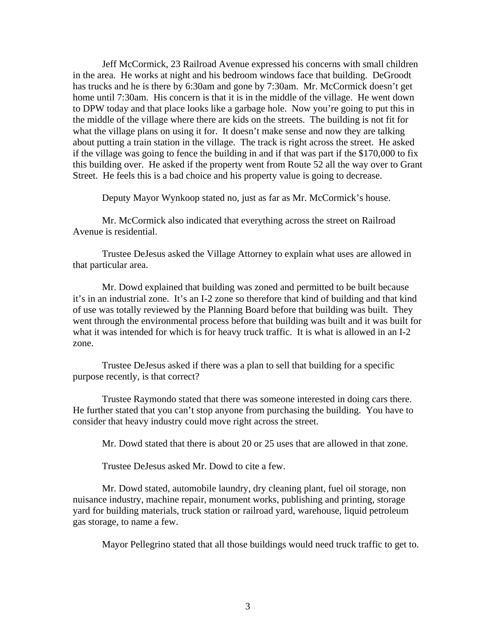Jeff McCormick, 23 Railroad Avenue expressed his concerns with small children in the area. He works at night and his bedroom windows face that building. DeGroodt has trucks and he is there by 6:30am and gone by 7:30am. Mr. McCormick doesn't get home until 7:30am. His concern is that it is in the middle of the village. He went down to DPW today and that place looks like a garbage hole. Now you're going to put this in the middle of the village where there are kids on the streets. The building is not fit for what the village plans on using it for. It doesn't make sense and now they are talking about putting a train station in the village. The track is right across the street. He asked if the village was going to fence the building in and if that was part if the \$170,000 to fix this building over. He asked if the property went from Route 52 all the way over to Grant Street. He feels this is a bad choice and his property value is going to decrease.

Deputy Mayor Wynkoop stated no, just as far as Mr. McCormick's house.

 Mr. McCormick also indicated that everything across the street on Railroad Avenue is residential.

 Trustee DeJesus asked the Village Attorney to explain what uses are allowed in that particular area.

 Mr. Dowd explained that building was zoned and permitted to be built because it's in an industrial zone. It's an I-2 zone so therefore that kind of building and that kind of use was totally reviewed by the Planning Board before that building was built. They went through the environmental process before that building was built and it was built for what it was intended for which is for heavy truck traffic. It is what is allowed in an I-2 zone.

 Trustee DeJesus asked if there was a plan to sell that building for a specific purpose recently, is that correct?

 Trustee Raymondo stated that there was someone interested in doing cars there. He further stated that you can't stop anyone from purchasing the building. You have to consider that heavy industry could move right across the street.

Mr. Dowd stated that there is about 20 or 25 uses that are allowed in that zone.

Trustee DeJesus asked Mr. Dowd to cite a few.

 Mr. Dowd stated, automobile laundry, dry cleaning plant, fuel oil storage, non nuisance industry, machine repair, monument works, publishing and printing, storage yard for building materials, truck station or railroad yard, warehouse, liquid petroleum gas storage, to name a few.

Mayor Pellegrino stated that all those buildings would need truck traffic to get to.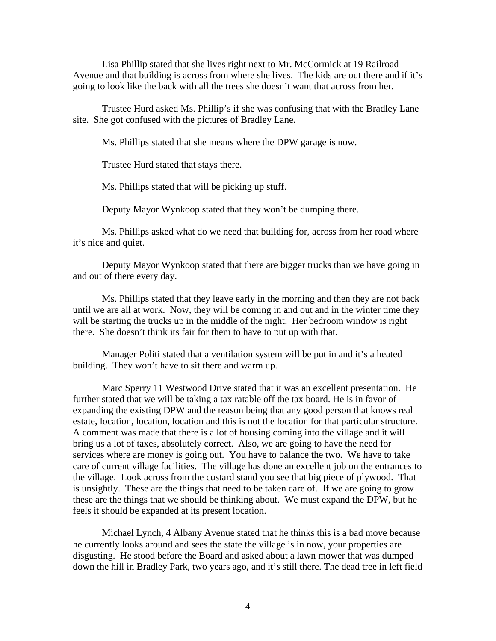Lisa Phillip stated that she lives right next to Mr. McCormick at 19 Railroad Avenue and that building is across from where she lives. The kids are out there and if it's going to look like the back with all the trees she doesn't want that across from her.

 Trustee Hurd asked Ms. Phillip's if she was confusing that with the Bradley Lane site. She got confused with the pictures of Bradley Lane.

Ms. Phillips stated that she means where the DPW garage is now.

Trustee Hurd stated that stays there.

Ms. Phillips stated that will be picking up stuff.

Deputy Mayor Wynkoop stated that they won't be dumping there.

 Ms. Phillips asked what do we need that building for, across from her road where it's nice and quiet.

 Deputy Mayor Wynkoop stated that there are bigger trucks than we have going in and out of there every day.

 Ms. Phillips stated that they leave early in the morning and then they are not back until we are all at work. Now, they will be coming in and out and in the winter time they will be starting the trucks up in the middle of the night. Her bedroom window is right there. She doesn't think its fair for them to have to put up with that.

 Manager Politi stated that a ventilation system will be put in and it's a heated building. They won't have to sit there and warm up.

 Marc Sperry 11 Westwood Drive stated that it was an excellent presentation. He further stated that we will be taking a tax ratable off the tax board. He is in favor of expanding the existing DPW and the reason being that any good person that knows real estate, location, location, location and this is not the location for that particular structure. A comment was made that there is a lot of housing coming into the village and it will bring us a lot of taxes, absolutely correct. Also, we are going to have the need for services where are money is going out. You have to balance the two. We have to take care of current village facilities. The village has done an excellent job on the entrances to the village. Look across from the custard stand you see that big piece of plywood. That is unsightly. These are the things that need to be taken care of. If we are going to grow these are the things that we should be thinking about. We must expand the DPW, but he feels it should be expanded at its present location.

 Michael Lynch, 4 Albany Avenue stated that he thinks this is a bad move because he currently looks around and sees the state the village is in now, your properties are disgusting. He stood before the Board and asked about a lawn mower that was dumped down the hill in Bradley Park, two years ago, and it's still there. The dead tree in left field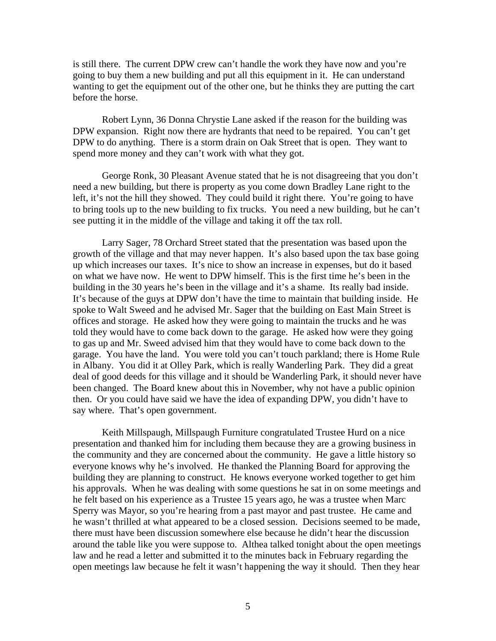is still there. The current DPW crew can't handle the work they have now and you're going to buy them a new building and put all this equipment in it. He can understand wanting to get the equipment out of the other one, but he thinks they are putting the cart before the horse.

 Robert Lynn, 36 Donna Chrystie Lane asked if the reason for the building was DPW expansion. Right now there are hydrants that need to be repaired. You can't get DPW to do anything. There is a storm drain on Oak Street that is open. They want to spend more money and they can't work with what they got.

 George Ronk, 30 Pleasant Avenue stated that he is not disagreeing that you don't need a new building, but there is property as you come down Bradley Lane right to the left, it's not the hill they showed. They could build it right there. You're going to have to bring tools up to the new building to fix trucks. You need a new building, but he can't see putting it in the middle of the village and taking it off the tax roll.

 Larry Sager, 78 Orchard Street stated that the presentation was based upon the growth of the village and that may never happen. It's also based upon the tax base going up which increases our taxes. It's nice to show an increase in expenses, but do it based on what we have now. He went to DPW himself. This is the first time he's been in the building in the 30 years he's been in the village and it's a shame. Its really bad inside. It's because of the guys at DPW don't have the time to maintain that building inside. He spoke to Walt Sweed and he advised Mr. Sager that the building on East Main Street is offices and storage. He asked how they were going to maintain the trucks and he was told they would have to come back down to the garage. He asked how were they going to gas up and Mr. Sweed advised him that they would have to come back down to the garage. You have the land. You were told you can't touch parkland; there is Home Rule in Albany. You did it at Olley Park, which is really Wanderling Park. They did a great deal of good deeds for this village and it should be Wanderling Park, it should never have been changed. The Board knew about this in November, why not have a public opinion then. Or you could have said we have the idea of expanding DPW, you didn't have to say where. That's open government.

 Keith Millspaugh, Millspaugh Furniture congratulated Trustee Hurd on a nice presentation and thanked him for including them because they are a growing business in the community and they are concerned about the community. He gave a little history so everyone knows why he's involved. He thanked the Planning Board for approving the building they are planning to construct. He knows everyone worked together to get him his approvals. When he was dealing with some questions he sat in on some meetings and he felt based on his experience as a Trustee 15 years ago, he was a trustee when Marc Sperry was Mayor, so you're hearing from a past mayor and past trustee. He came and he wasn't thrilled at what appeared to be a closed session. Decisions seemed to be made, there must have been discussion somewhere else because he didn't hear the discussion around the table like you were suppose to. Althea talked tonight about the open meetings law and he read a letter and submitted it to the minutes back in February regarding the open meetings law because he felt it wasn't happening the way it should. Then they hear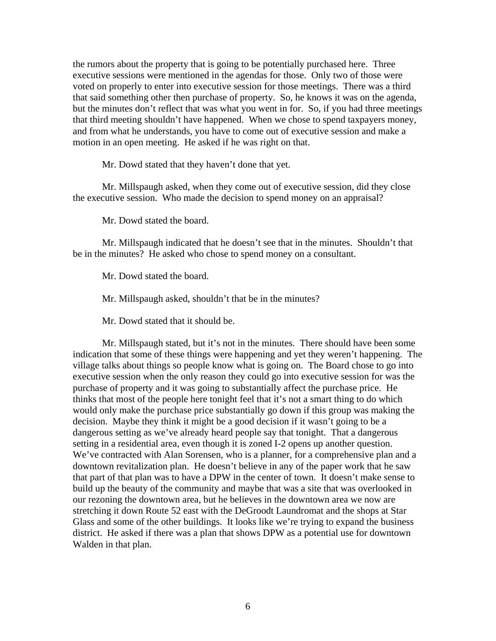the rumors about the property that is going to be potentially purchased here. Three executive sessions were mentioned in the agendas for those. Only two of those were voted on properly to enter into executive session for those meetings. There was a third that said something other then purchase of property. So, he knows it was on the agenda, but the minutes don't reflect that was what you went in for. So, if you had three meetings that third meeting shouldn't have happened. When we chose to spend taxpayers money, and from what he understands, you have to come out of executive session and make a motion in an open meeting. He asked if he was right on that.

Mr. Dowd stated that they haven't done that yet.

 Mr. Millspaugh asked, when they come out of executive session, did they close the executive session. Who made the decision to spend money on an appraisal?

Mr. Dowd stated the board.

 Mr. Millspaugh indicated that he doesn't see that in the minutes. Shouldn't that be in the minutes? He asked who chose to spend money on a consultant.

Mr. Dowd stated the board.

Mr. Millspaugh asked, shouldn't that be in the minutes?

Mr. Dowd stated that it should be.

 Mr. Millspaugh stated, but it's not in the minutes. There should have been some indication that some of these things were happening and yet they weren't happening. The village talks about things so people know what is going on. The Board chose to go into executive session when the only reason they could go into executive session for was the purchase of property and it was going to substantially affect the purchase price. He thinks that most of the people here tonight feel that it's not a smart thing to do which would only make the purchase price substantially go down if this group was making the decision. Maybe they think it might be a good decision if it wasn't going to be a dangerous setting as we've already heard people say that tonight. That a dangerous setting in a residential area, even though it is zoned I-2 opens up another question. We've contracted with Alan Sorensen, who is a planner, for a comprehensive plan and a downtown revitalization plan. He doesn't believe in any of the paper work that he saw that part of that plan was to have a DPW in the center of town. It doesn't make sense to build up the beauty of the community and maybe that was a site that was overlooked in our rezoning the downtown area, but he believes in the downtown area we now are stretching it down Route 52 east with the DeGroodt Laundromat and the shops at Star Glass and some of the other buildings. It looks like we're trying to expand the business district. He asked if there was a plan that shows DPW as a potential use for downtown Walden in that plan.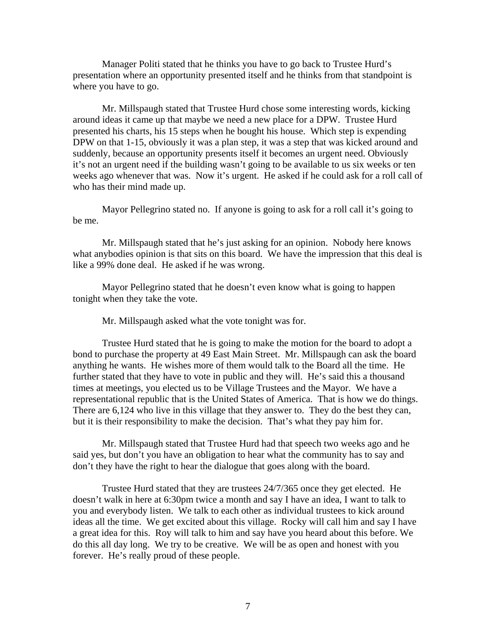Manager Politi stated that he thinks you have to go back to Trustee Hurd's presentation where an opportunity presented itself and he thinks from that standpoint is where you have to go.

 Mr. Millspaugh stated that Trustee Hurd chose some interesting words, kicking around ideas it came up that maybe we need a new place for a DPW. Trustee Hurd presented his charts, his 15 steps when he bought his house. Which step is expending DPW on that 1-15, obviously it was a plan step, it was a step that was kicked around and suddenly, because an opportunity presents itself it becomes an urgent need. Obviously it's not an urgent need if the building wasn't going to be available to us six weeks or ten weeks ago whenever that was. Now it's urgent. He asked if he could ask for a roll call of who has their mind made up.

 Mayor Pellegrino stated no. If anyone is going to ask for a roll call it's going to be me.

 Mr. Millspaugh stated that he's just asking for an opinion. Nobody here knows what anybodies opinion is that sits on this board. We have the impression that this deal is like a 99% done deal. He asked if he was wrong.

 Mayor Pellegrino stated that he doesn't even know what is going to happen tonight when they take the vote.

Mr. Millspaugh asked what the vote tonight was for.

 Trustee Hurd stated that he is going to make the motion for the board to adopt a bond to purchase the property at 49 East Main Street. Mr. Millspaugh can ask the board anything he wants. He wishes more of them would talk to the Board all the time. He further stated that they have to vote in public and they will. He's said this a thousand times at meetings, you elected us to be Village Trustees and the Mayor. We have a representational republic that is the United States of America. That is how we do things. There are 6,124 who live in this village that they answer to. They do the best they can, but it is their responsibility to make the decision. That's what they pay him for.

 Mr. Millspaugh stated that Trustee Hurd had that speech two weeks ago and he said yes, but don't you have an obligation to hear what the community has to say and don't they have the right to hear the dialogue that goes along with the board.

 Trustee Hurd stated that they are trustees 24/7/365 once they get elected. He doesn't walk in here at 6:30pm twice a month and say I have an idea, I want to talk to you and everybody listen. We talk to each other as individual trustees to kick around ideas all the time. We get excited about this village. Rocky will call him and say I have a great idea for this. Roy will talk to him and say have you heard about this before. We do this all day long. We try to be creative. We will be as open and honest with you forever. He's really proud of these people.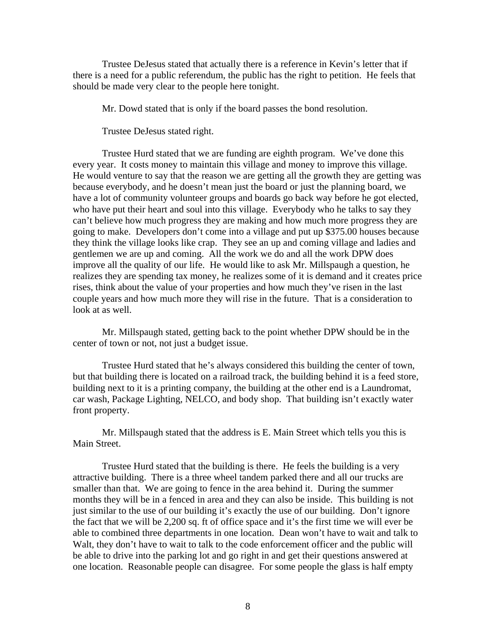Trustee DeJesus stated that actually there is a reference in Kevin's letter that if there is a need for a public referendum, the public has the right to petition. He feels that should be made very clear to the people here tonight.

Mr. Dowd stated that is only if the board passes the bond resolution.

Trustee DeJesus stated right.

 Trustee Hurd stated that we are funding are eighth program. We've done this every year. It costs money to maintain this village and money to improve this village. He would venture to say that the reason we are getting all the growth they are getting was because everybody, and he doesn't mean just the board or just the planning board, we have a lot of community volunteer groups and boards go back way before he got elected, who have put their heart and soul into this village. Everybody who he talks to say they can't believe how much progress they are making and how much more progress they are going to make. Developers don't come into a village and put up \$375.00 houses because they think the village looks like crap. They see an up and coming village and ladies and gentlemen we are up and coming. All the work we do and all the work DPW does improve all the quality of our life. He would like to ask Mr. Millspaugh a question, he realizes they are spending tax money, he realizes some of it is demand and it creates price rises, think about the value of your properties and how much they've risen in the last couple years and how much more they will rise in the future. That is a consideration to look at as well.

 Mr. Millspaugh stated, getting back to the point whether DPW should be in the center of town or not, not just a budget issue.

 Trustee Hurd stated that he's always considered this building the center of town, but that building there is located on a railroad track, the building behind it is a feed store, building next to it is a printing company, the building at the other end is a Laundromat, car wash, Package Lighting, NELCO, and body shop. That building isn't exactly water front property.

 Mr. Millspaugh stated that the address is E. Main Street which tells you this is Main Street.

 Trustee Hurd stated that the building is there. He feels the building is a very attractive building. There is a three wheel tandem parked there and all our trucks are smaller than that. We are going to fence in the area behind it. During the summer months they will be in a fenced in area and they can also be inside. This building is not just similar to the use of our building it's exactly the use of our building. Don't ignore the fact that we will be 2,200 sq. ft of office space and it's the first time we will ever be able to combined three departments in one location. Dean won't have to wait and talk to Walt, they don't have to wait to talk to the code enforcement officer and the public will be able to drive into the parking lot and go right in and get their questions answered at one location. Reasonable people can disagree. For some people the glass is half empty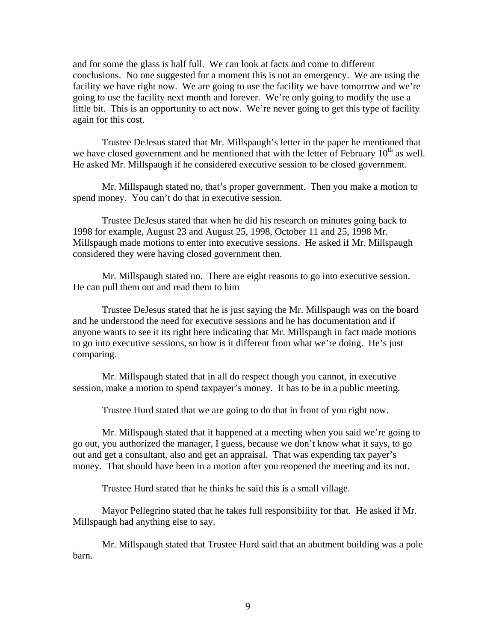and for some the glass is half full. We can look at facts and come to different conclusions. No one suggested for a moment this is not an emergency. We are using the facility we have right now. We are going to use the facility we have tomorrow and we're going to use the facility next month and forever. We're only going to modify the use a little bit. This is an opportunity to act now. We're never going to get this type of facility again for this cost.

 Trustee DeJesus stated that Mr. Millspaugh's letter in the paper he mentioned that we have closed government and he mentioned that with the letter of February  $10<sup>th</sup>$  as well. He asked Mr. Millspaugh if he considered executive session to be closed government.

 Mr. Millspaugh stated no, that's proper government. Then you make a motion to spend money. You can't do that in executive session.

 Trustee DeJesus stated that when he did his research on minutes going back to 1998 for example, August 23 and August 25, 1998, October 11 and 25, 1998 Mr. Millspaugh made motions to enter into executive sessions. He asked if Mr. Millspaugh considered they were having closed government then.

 Mr. Millspaugh stated no. There are eight reasons to go into executive session. He can pull them out and read them to him

 Trustee DeJesus stated that he is just saying the Mr. Millspaugh was on the board and he understood the need for executive sessions and he has documentation and if anyone wants to see it its right here indicating that Mr. Millspaugh in fact made motions to go into executive sessions, so how is it different from what we're doing. He's just comparing.

 Mr. Millspaugh stated that in all do respect though you cannot, in executive session, make a motion to spend taxpayer's money. It has to be in a public meeting.

Trustee Hurd stated that we are going to do that in front of you right now.

 Mr. Millspaugh stated that it happened at a meeting when you said we're going to go out, you authorized the manager, I guess, because we don't know what it says, to go out and get a consultant, also and get an appraisal. That was expending tax payer's money. That should have been in a motion after you reopened the meeting and its not.

Trustee Hurd stated that he thinks he said this is a small village.

 Mayor Pellegrino stated that he takes full responsibility for that. He asked if Mr. Millspaugh had anything else to say.

 Mr. Millspaugh stated that Trustee Hurd said that an abutment building was a pole barn.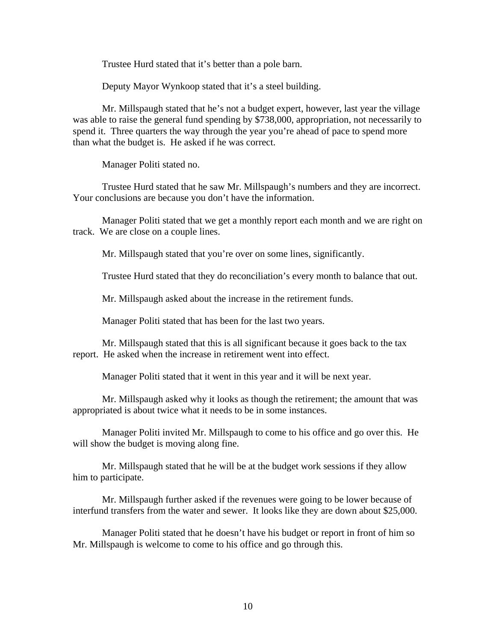Trustee Hurd stated that it's better than a pole barn.

Deputy Mayor Wynkoop stated that it's a steel building.

 Mr. Millspaugh stated that he's not a budget expert, however, last year the village was able to raise the general fund spending by \$738,000, appropriation, not necessarily to spend it. Three quarters the way through the year you're ahead of pace to spend more than what the budget is. He asked if he was correct.

Manager Politi stated no.

 Trustee Hurd stated that he saw Mr. Millspaugh's numbers and they are incorrect. Your conclusions are because you don't have the information.

 Manager Politi stated that we get a monthly report each month and we are right on track. We are close on a couple lines.

Mr. Millspaugh stated that you're over on some lines, significantly.

Trustee Hurd stated that they do reconciliation's every month to balance that out.

Mr. Millspaugh asked about the increase in the retirement funds.

Manager Politi stated that has been for the last two years.

 Mr. Millspaugh stated that this is all significant because it goes back to the tax report. He asked when the increase in retirement went into effect.

Manager Politi stated that it went in this year and it will be next year.

 Mr. Millspaugh asked why it looks as though the retirement; the amount that was appropriated is about twice what it needs to be in some instances.

 Manager Politi invited Mr. Millspaugh to come to his office and go over this. He will show the budget is moving along fine.

 Mr. Millspaugh stated that he will be at the budget work sessions if they allow him to participate.

 Mr. Millspaugh further asked if the revenues were going to be lower because of interfund transfers from the water and sewer. It looks like they are down about \$25,000.

 Manager Politi stated that he doesn't have his budget or report in front of him so Mr. Millspaugh is welcome to come to his office and go through this.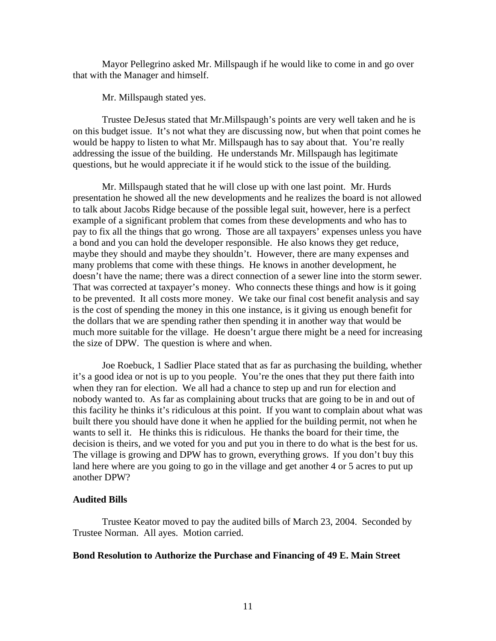Mayor Pellegrino asked Mr. Millspaugh if he would like to come in and go over that with the Manager and himself.

Mr. Millspaugh stated yes.

 Trustee DeJesus stated that Mr.Millspaugh's points are very well taken and he is on this budget issue. It's not what they are discussing now, but when that point comes he would be happy to listen to what Mr. Millspaugh has to say about that. You're really addressing the issue of the building. He understands Mr. Millspaugh has legitimate questions, but he would appreciate it if he would stick to the issue of the building.

 Mr. Millspaugh stated that he will close up with one last point. Mr. Hurds presentation he showed all the new developments and he realizes the board is not allowed to talk about Jacobs Ridge because of the possible legal suit, however, here is a perfect example of a significant problem that comes from these developments and who has to pay to fix all the things that go wrong. Those are all taxpayers' expenses unless you have a bond and you can hold the developer responsible. He also knows they get reduce, maybe they should and maybe they shouldn't. However, there are many expenses and many problems that come with these things. He knows in another development, he doesn't have the name; there was a direct connection of a sewer line into the storm sewer. That was corrected at taxpayer's money. Who connects these things and how is it going to be prevented. It all costs more money. We take our final cost benefit analysis and say is the cost of spending the money in this one instance, is it giving us enough benefit for the dollars that we are spending rather then spending it in another way that would be much more suitable for the village. He doesn't argue there might be a need for increasing the size of DPW. The question is where and when.

 Joe Roebuck, 1 Sadlier Place stated that as far as purchasing the building, whether it's a good idea or not is up to you people. You're the ones that they put there faith into when they ran for election. We all had a chance to step up and run for election and nobody wanted to. As far as complaining about trucks that are going to be in and out of this facility he thinks it's ridiculous at this point. If you want to complain about what was built there you should have done it when he applied for the building permit, not when he wants to sell it. He thinks this is ridiculous. He thanks the board for their time, the decision is theirs, and we voted for you and put you in there to do what is the best for us. The village is growing and DPW has to grown, everything grows. If you don't buy this land here where are you going to go in the village and get another 4 or 5 acres to put up another DPW?

## **Audited Bills**

Trustee Keator moved to pay the audited bills of March 23, 2004. Seconded by Trustee Norman. All ayes. Motion carried.

### **Bond Resolution to Authorize the Purchase and Financing of 49 E. Main Street**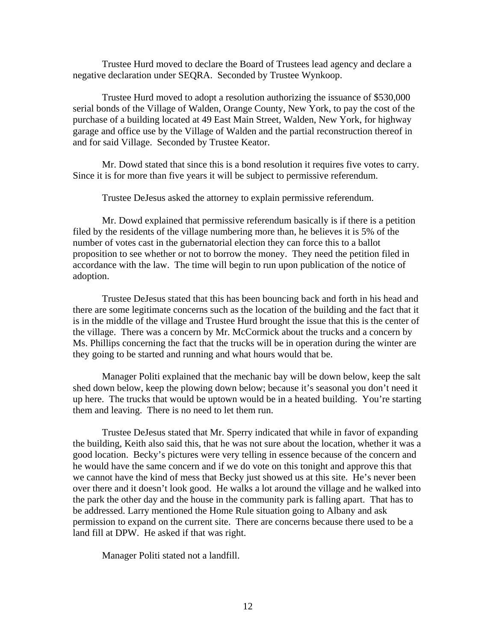Trustee Hurd moved to declare the Board of Trustees lead agency and declare a negative declaration under SEQRA. Seconded by Trustee Wynkoop.

 Trustee Hurd moved to adopt a resolution authorizing the issuance of \$530,000 serial bonds of the Village of Walden, Orange County, New York, to pay the cost of the purchase of a building located at 49 East Main Street, Walden, New York, for highway garage and office use by the Village of Walden and the partial reconstruction thereof in and for said Village. Seconded by Trustee Keator.

 Mr. Dowd stated that since this is a bond resolution it requires five votes to carry. Since it is for more than five years it will be subject to permissive referendum.

Trustee DeJesus asked the attorney to explain permissive referendum.

 Mr. Dowd explained that permissive referendum basically is if there is a petition filed by the residents of the village numbering more than, he believes it is 5% of the number of votes cast in the gubernatorial election they can force this to a ballot proposition to see whether or not to borrow the money. They need the petition filed in accordance with the law. The time will begin to run upon publication of the notice of adoption.

 Trustee DeJesus stated that this has been bouncing back and forth in his head and there are some legitimate concerns such as the location of the building and the fact that it is in the middle of the village and Trustee Hurd brought the issue that this is the center of the village. There was a concern by Mr. McCormick about the trucks and a concern by Ms. Phillips concerning the fact that the trucks will be in operation during the winter are they going to be started and running and what hours would that be.

 Manager Politi explained that the mechanic bay will be down below, keep the salt shed down below, keep the plowing down below; because it's seasonal you don't need it up here. The trucks that would be uptown would be in a heated building. You're starting them and leaving. There is no need to let them run.

 Trustee DeJesus stated that Mr. Sperry indicated that while in favor of expanding the building, Keith also said this, that he was not sure about the location, whether it was a good location. Becky's pictures were very telling in essence because of the concern and he would have the same concern and if we do vote on this tonight and approve this that we cannot have the kind of mess that Becky just showed us at this site. He's never been over there and it doesn't look good. He walks a lot around the village and he walked into the park the other day and the house in the community park is falling apart. That has to be addressed. Larry mentioned the Home Rule situation going to Albany and ask permission to expand on the current site. There are concerns because there used to be a land fill at DPW. He asked if that was right.

Manager Politi stated not a landfill.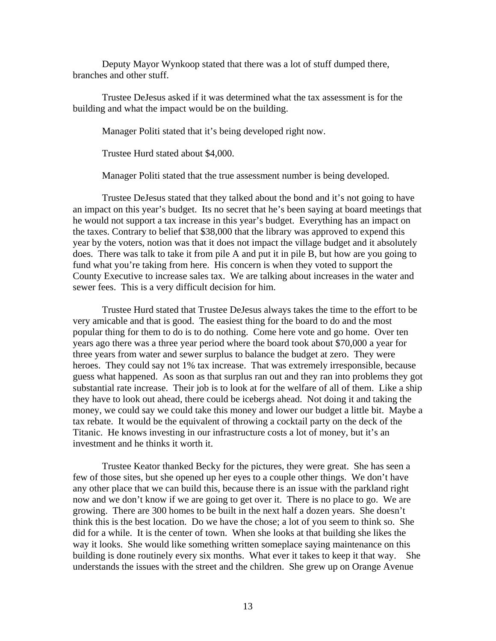Deputy Mayor Wynkoop stated that there was a lot of stuff dumped there, branches and other stuff.

 Trustee DeJesus asked if it was determined what the tax assessment is for the building and what the impact would be on the building.

Manager Politi stated that it's being developed right now.

Trustee Hurd stated about \$4,000.

Manager Politi stated that the true assessment number is being developed.

 Trustee DeJesus stated that they talked about the bond and it's not going to have an impact on this year's budget. Its no secret that he's been saying at board meetings that he would not support a tax increase in this year's budget. Everything has an impact on the taxes. Contrary to belief that \$38,000 that the library was approved to expend this year by the voters, notion was that it does not impact the village budget and it absolutely does. There was talk to take it from pile A and put it in pile B, but how are you going to fund what you're taking from here. His concern is when they voted to support the County Executive to increase sales tax. We are talking about increases in the water and sewer fees. This is a very difficult decision for him.

 Trustee Hurd stated that Trustee DeJesus always takes the time to the effort to be very amicable and that is good. The easiest thing for the board to do and the most popular thing for them to do is to do nothing. Come here vote and go home. Over ten years ago there was a three year period where the board took about \$70,000 a year for three years from water and sewer surplus to balance the budget at zero. They were heroes. They could say not 1% tax increase. That was extremely irresponsible, because guess what happened. As soon as that surplus ran out and they ran into problems they got substantial rate increase. Their job is to look at for the welfare of all of them. Like a ship they have to look out ahead, there could be icebergs ahead. Not doing it and taking the money, we could say we could take this money and lower our budget a little bit. Maybe a tax rebate. It would be the equivalent of throwing a cocktail party on the deck of the Titanic. He knows investing in our infrastructure costs a lot of money, but it's an investment and he thinks it worth it.

 Trustee Keator thanked Becky for the pictures, they were great. She has seen a few of those sites, but she opened up her eyes to a couple other things. We don't have any other place that we can build this, because there is an issue with the parkland right now and we don't know if we are going to get over it. There is no place to go. We are growing. There are 300 homes to be built in the next half a dozen years. She doesn't think this is the best location. Do we have the chose; a lot of you seem to think so. She did for a while. It is the center of town. When she looks at that building she likes the way it looks. She would like something written someplace saying maintenance on this building is done routinely every six months. What ever it takes to keep it that way. She understands the issues with the street and the children. She grew up on Orange Avenue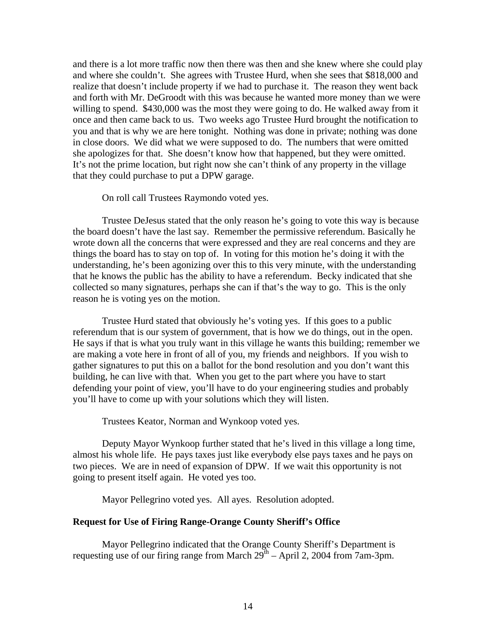and there is a lot more traffic now then there was then and she knew where she could play and where she couldn't. She agrees with Trustee Hurd, when she sees that \$818,000 and realize that doesn't include property if we had to purchase it. The reason they went back and forth with Mr. DeGroodt with this was because he wanted more money than we were willing to spend. \$430,000 was the most they were going to do. He walked away from it once and then came back to us. Two weeks ago Trustee Hurd brought the notification to you and that is why we are here tonight. Nothing was done in private; nothing was done in close doors. We did what we were supposed to do. The numbers that were omitted she apologizes for that. She doesn't know how that happened, but they were omitted. It's not the prime location, but right now she can't think of any property in the village that they could purchase to put a DPW garage.

On roll call Trustees Raymondo voted yes.

Trustee DeJesus stated that the only reason he's going to vote this way is because the board doesn't have the last say. Remember the permissive referendum. Basically he wrote down all the concerns that were expressed and they are real concerns and they are things the board has to stay on top of. In voting for this motion he's doing it with the understanding, he's been agonizing over this to this very minute, with the understanding that he knows the public has the ability to have a referendum. Becky indicated that she collected so many signatures, perhaps she can if that's the way to go. This is the only reason he is voting yes on the motion.

 Trustee Hurd stated that obviously he's voting yes. If this goes to a public referendum that is our system of government, that is how we do things, out in the open. He says if that is what you truly want in this village he wants this building; remember we are making a vote here in front of all of you, my friends and neighbors. If you wish to gather signatures to put this on a ballot for the bond resolution and you don't want this building, he can live with that. When you get to the part where you have to start defending your point of view, you'll have to do your engineering studies and probably you'll have to come up with your solutions which they will listen.

Trustees Keator, Norman and Wynkoop voted yes.

Deputy Mayor Wynkoop further stated that he's lived in this village a long time, almost his whole life. He pays taxes just like everybody else pays taxes and he pays on two pieces. We are in need of expansion of DPW. If we wait this opportunity is not going to present itself again. He voted yes too.

Mayor Pellegrino voted yes. All ayes. Resolution adopted.

#### **Request for Use of Firing Range-Orange County Sheriff's Office**

Mayor Pellegrino indicated that the Orange County Sheriff's Department is requesting use of our firing range from March  $29<sup>th</sup>$  – April 2, 2004 from 7am-3pm.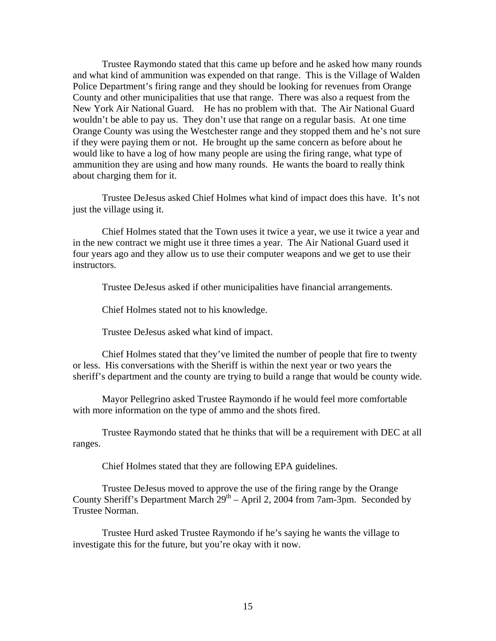Trustee Raymondo stated that this came up before and he asked how many rounds and what kind of ammunition was expended on that range. This is the Village of Walden Police Department's firing range and they should be looking for revenues from Orange County and other municipalities that use that range. There was also a request from the New York Air National Guard. He has no problem with that. The Air National Guard wouldn't be able to pay us. They don't use that range on a regular basis. At one time Orange County was using the Westchester range and they stopped them and he's not sure if they were paying them or not. He brought up the same concern as before about he would like to have a log of how many people are using the firing range, what type of ammunition they are using and how many rounds. He wants the board to really think about charging them for it.

 Trustee DeJesus asked Chief Holmes what kind of impact does this have. It's not just the village using it.

 Chief Holmes stated that the Town uses it twice a year, we use it twice a year and in the new contract we might use it three times a year. The Air National Guard used it four years ago and they allow us to use their computer weapons and we get to use their instructors.

Trustee DeJesus asked if other municipalities have financial arrangements.

Chief Holmes stated not to his knowledge.

Trustee DeJesus asked what kind of impact.

 Chief Holmes stated that they've limited the number of people that fire to twenty or less. His conversations with the Sheriff is within the next year or two years the sheriff's department and the county are trying to build a range that would be county wide.

 Mayor Pellegrino asked Trustee Raymondo if he would feel more comfortable with more information on the type of ammo and the shots fired.

 Trustee Raymondo stated that he thinks that will be a requirement with DEC at all ranges.

Chief Holmes stated that they are following EPA guidelines.

 Trustee DeJesus moved to approve the use of the firing range by the Orange County Sheriff's Department March  $29<sup>th</sup> - April 2$ , 2004 from 7am-3pm. Seconded by Trustee Norman.

Trustee Hurd asked Trustee Raymondo if he's saying he wants the village to investigate this for the future, but you're okay with it now.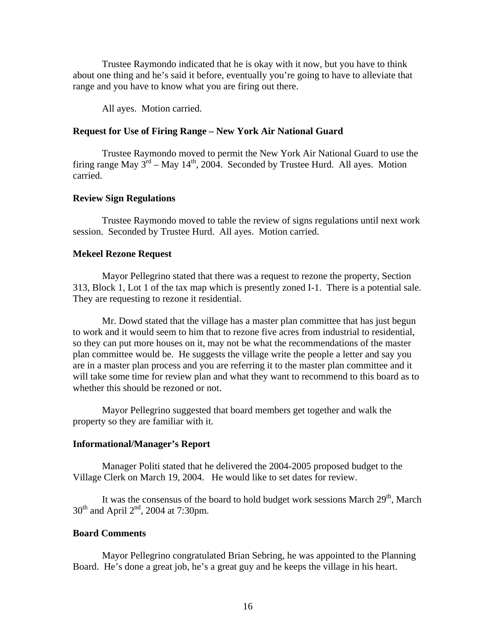Trustee Raymondo indicated that he is okay with it now, but you have to think about one thing and he's said it before, eventually you're going to have to alleviate that range and you have to know what you are firing out there.

All ayes. Motion carried.

## **Request for Use of Firing Range – New York Air National Guard**

Trustee Raymondo moved to permit the New York Air National Guard to use the firing range May  $3^{rd}$  – May 14<sup>th</sup>, 2004. Seconded by Trustee Hurd. All ayes. Motion carried.

#### **Review Sign Regulations**

Trustee Raymondo moved to table the review of signs regulations until next work session. Seconded by Trustee Hurd. All ayes. Motion carried.

#### **Mekeel Rezone Request**

Mayor Pellegrino stated that there was a request to rezone the property, Section 313, Block 1, Lot 1 of the tax map which is presently zoned I-1. There is a potential sale. They are requesting to rezone it residential.

 Mr. Dowd stated that the village has a master plan committee that has just begun to work and it would seem to him that to rezone five acres from industrial to residential, so they can put more houses on it, may not be what the recommendations of the master plan committee would be. He suggests the village write the people a letter and say you are in a master plan process and you are referring it to the master plan committee and it will take some time for review plan and what they want to recommend to this board as to whether this should be rezoned or not.

 Mayor Pellegrino suggested that board members get together and walk the property so they are familiar with it.

#### **Informational/Manager's Report**

 Manager Politi stated that he delivered the 2004-2005 proposed budget to the Village Clerk on March 19, 2004. He would like to set dates for review.

It was the consensus of the board to hold budget work sessions March  $29<sup>th</sup>$ , March  $30<sup>th</sup>$  and April  $2<sup>nd</sup>$ , 2004 at 7:30pm.

### **Board Comments**

Mayor Pellegrino congratulated Brian Sebring, he was appointed to the Planning Board. He's done a great job, he's a great guy and he keeps the village in his heart.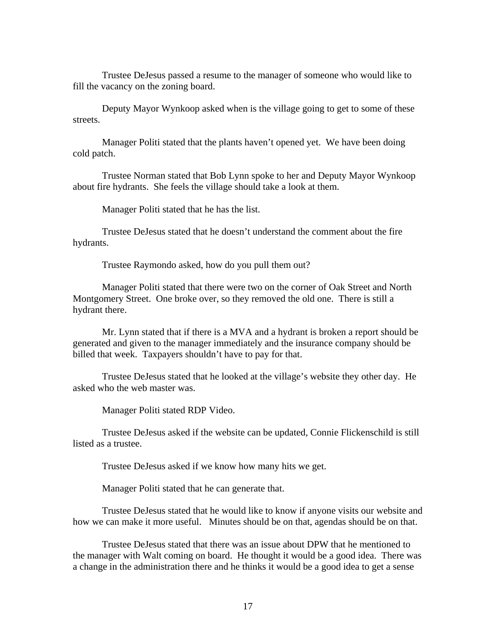Trustee DeJesus passed a resume to the manager of someone who would like to fill the vacancy on the zoning board.

 Deputy Mayor Wynkoop asked when is the village going to get to some of these streets.

 Manager Politi stated that the plants haven't opened yet. We have been doing cold patch.

 Trustee Norman stated that Bob Lynn spoke to her and Deputy Mayor Wynkoop about fire hydrants. She feels the village should take a look at them.

Manager Politi stated that he has the list.

 Trustee DeJesus stated that he doesn't understand the comment about the fire hydrants.

Trustee Raymondo asked, how do you pull them out?

 Manager Politi stated that there were two on the corner of Oak Street and North Montgomery Street. One broke over, so they removed the old one. There is still a hydrant there.

 Mr. Lynn stated that if there is a MVA and a hydrant is broken a report should be generated and given to the manager immediately and the insurance company should be billed that week. Taxpayers shouldn't have to pay for that.

 Trustee DeJesus stated that he looked at the village's website they other day. He asked who the web master was.

Manager Politi stated RDP Video.

 Trustee DeJesus asked if the website can be updated, Connie Flickenschild is still listed as a trustee.

Trustee DeJesus asked if we know how many hits we get.

Manager Politi stated that he can generate that.

 Trustee DeJesus stated that he would like to know if anyone visits our website and how we can make it more useful. Minutes should be on that, agendas should be on that.

 Trustee DeJesus stated that there was an issue about DPW that he mentioned to the manager with Walt coming on board. He thought it would be a good idea. There was a change in the administration there and he thinks it would be a good idea to get a sense